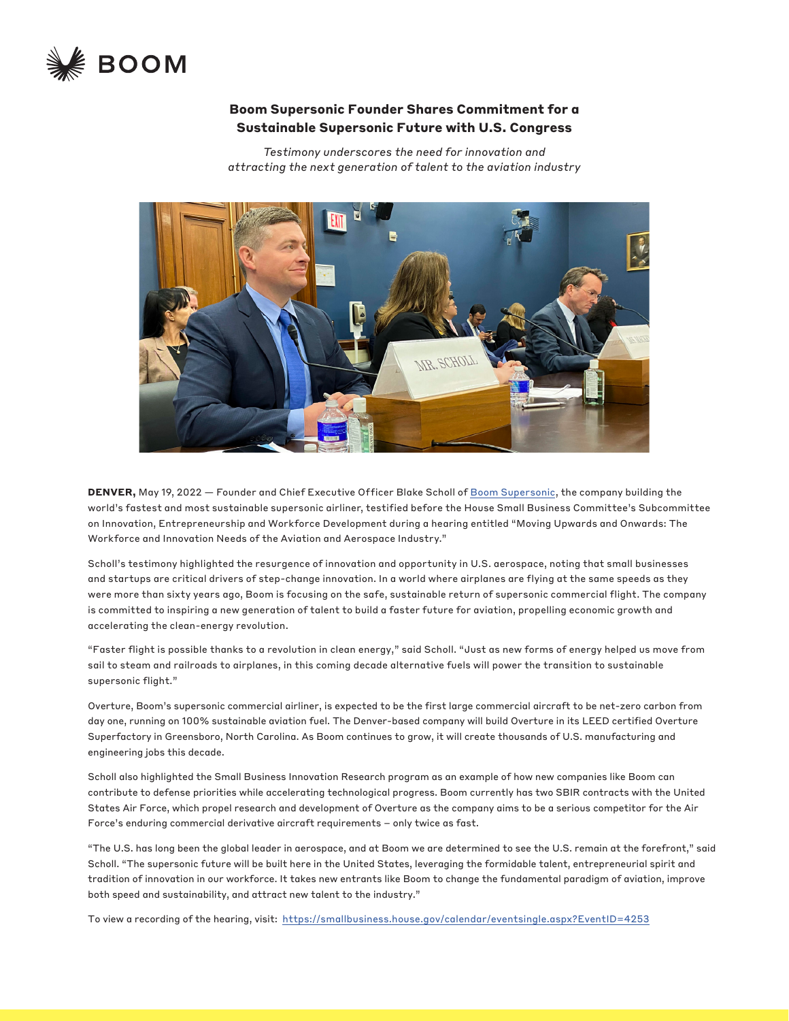

## **Boom Supersonic Founder Shares Commitment for a Sustainable Supersonic Future with U.S. Congress**

*Testimony underscores the need for innovation and attracting the next generation of talent to the aviation industry*



DENVER, May 19, 2022 - Founder and Chief Executive Officer Blake Scholl of [Boom Supersonic](https://www.boomsupersonic.com/), the company building the world's fastest and most sustainable supersonic airliner, testified before the House Small Business Committee's Subcommittee on Innovation, Entrepreneurship and Workforce Development during a hearing entitled "Moving Upwards and Onwards: The Workforce and Innovation Needs of the Aviation and Aerospace Industry."

Scholl's testimony highlighted the resurgence of innovation and opportunity in U.S. aerospace, noting that small businesses and startups are critical drivers of step-change innovation. In a world where airplanes are flying at the same speeds as they were more than sixty years ago, Boom is focusing on the safe, sustainable return of supersonic commercial flight. The company is committed to inspiring a new generation of talent to build a faster future for aviation, propelling economic growth and accelerating the clean-energy revolution.

"Faster flight is possible thanks to a revolution in clean energy," said Scholl. "Just as new forms of energy helped us move from sail to steam and railroads to airplanes, in this coming decade alternative fuels will power the transition to sustainable supersonic flight."

Overture, Boom's supersonic commercial airliner, is expected to be the first large commercial aircraft to be net-zero carbon from day one, running on 100% sustainable aviation fuel. The Denver-based company will build Overture in its LEED certified Overture Superfactory in Greensboro, North Carolina. As Boom continues to grow, it will create thousands of U.S. manufacturing and engineering jobs this decade.

Scholl also highlighted the Small Business Innovation Research program as an example of how new companies like Boom can contribute to defense priorities while accelerating technological progress. Boom currently has two SBIR contracts with the United States Air Force, which propel research and development of Overture as the company aims to be a serious competitor for the Air Force's enduring commercial derivative aircraft requirements – only twice as fast.

"The U.S. has long been the global leader in aerospace, and at Boom we are determined to see the U.S. remain at the forefront," said Scholl. "The supersonic future will be built here in the United States, leveraging the formidable talent, entrepreneurial spirit and tradition of innovation in our workforce. It takes new entrants like Boom to change the fundamental paradigm of aviation, improve both speed and sustainability, and attract new talent to the industry."

To view a recording of the hearing, visit: <https://smallbusiness.house.gov/calendar/eventsingle.aspx?EventID=4253>